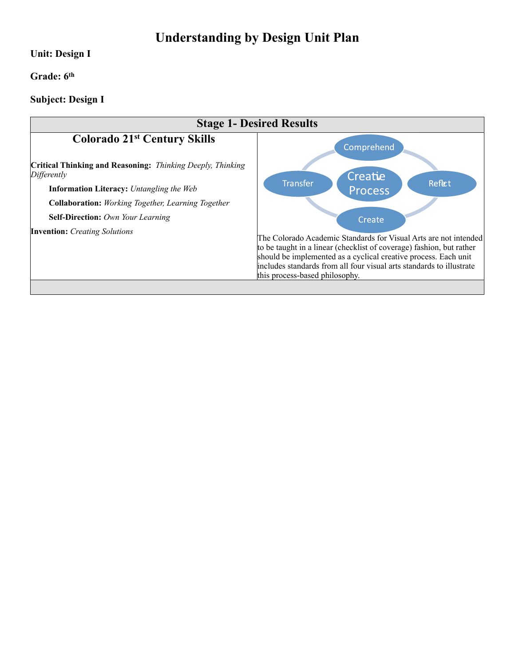# **Understanding by Design Unit Plan**

#### **Unit: Design I**

#### **Grade: 6th**

## **Subject: Design I**

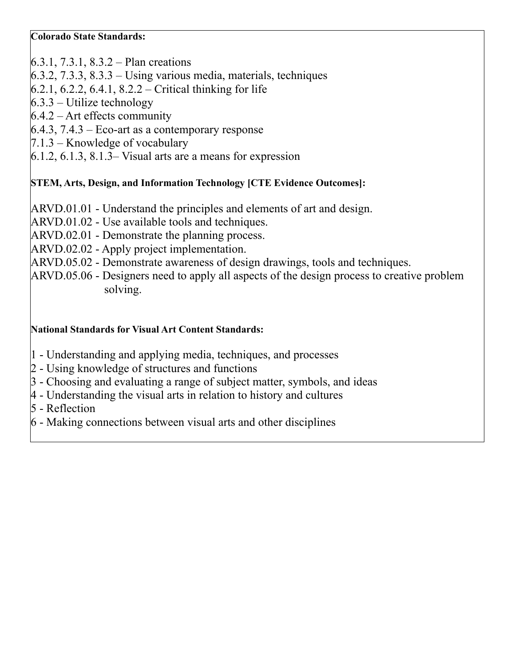### **Colorado State Standards:**

6.3.1, 7.3.1, 8.3.2 – Plan creations

- 6.3.2, 7.3.3, 8.3.3 Using various media, materials, techniques
- $6.2.1, 6.2.2, 6.4.1, 8.2.2$  Critical thinking for life
- $6.3.3$  Utilize technology
- $6.4.2$  Art effects community
- $6.4.3$ ,  $7.4.3$  Eco-art as a contemporary response
- 7.1.3 Knowledge of vocabulary
- $6.1.2, 6.1.3, 8.1.3$  Visual arts are a means for expression

# **STEM, Arts, Design, and Information Technology [CTE Evidence Outcomes]:**

- ARVD.01.01 Understand the principles and elements of art and design.
- ARVD.01.02 Use available tools and techniques.
- ARVD.02.01 Demonstrate the planning process.
- ARVD.02.02 Apply project implementation.
- ARVD.05.02 Demonstrate awareness of design drawings, tools and techniques.
- ARVD.05.06 Designers need to apply all aspects of the design process to creative problem solving.

## **National Standards for Visual Art Content Standards:**

- 1 Understanding and applying media, techniques, and processes
- 2 Using knowledge of structures and functions
- 3 Choosing and evaluating a range of subject matter, symbols, and ideas
- 4 Understanding the visual arts in relation to history and cultures
- 5 Reflection
- 6 Making connections between visual arts and other disciplines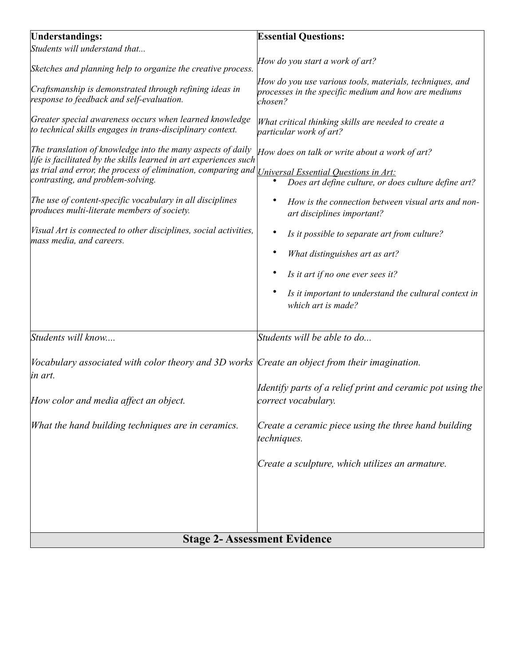| <b>Understandings:</b>                                                                                                                                                                                                                                                                                                                                                                                                                             | <b>Essential Questions:</b>                                                                                                                                                                                                                                                                                                                                                                                                               |  |
|----------------------------------------------------------------------------------------------------------------------------------------------------------------------------------------------------------------------------------------------------------------------------------------------------------------------------------------------------------------------------------------------------------------------------------------------------|-------------------------------------------------------------------------------------------------------------------------------------------------------------------------------------------------------------------------------------------------------------------------------------------------------------------------------------------------------------------------------------------------------------------------------------------|--|
| Students will understand that                                                                                                                                                                                                                                                                                                                                                                                                                      |                                                                                                                                                                                                                                                                                                                                                                                                                                           |  |
| Sketches and planning help to organize the creative process.                                                                                                                                                                                                                                                                                                                                                                                       | How do you start a work of art?                                                                                                                                                                                                                                                                                                                                                                                                           |  |
| Craftsmanship is demonstrated through refining ideas in<br>response to feedback and self-evaluation.                                                                                                                                                                                                                                                                                                                                               | How do you use various tools, materials, techniques, and<br>processes in the specific medium and how are mediums<br>chosen?                                                                                                                                                                                                                                                                                                               |  |
| Greater special awareness occurs when learned knowledge<br>to technical skills engages in trans-disciplinary context.                                                                                                                                                                                                                                                                                                                              | What critical thinking skills are needed to create a<br>particular work of art?                                                                                                                                                                                                                                                                                                                                                           |  |
| The translation of knowledge into the many aspects of daily<br>life is facilitated by the skills learned in art experiences such<br>as trial and error, the process of elimination, comparing and<br>contrasting, and problem-solving.<br>The use of content-specific vocabulary in all disciplines<br>produces multi-literate members of society.<br>Visual Art is connected to other disciplines, social activities,<br>mass media, and careers. | How does on talk or write about a work of art?<br>Universal Essential Questions in Art:<br>Does art define culture, or does culture define art?<br>How is the connection between visual arts and non-<br>art disciplines important?<br>Is it possible to separate art from culture?<br>What distinguishes art as art?<br>Is it art if no one ever sees it?<br>Is it important to understand the cultural context in<br>which art is made? |  |
| Students will know                                                                                                                                                                                                                                                                                                                                                                                                                                 | Students will be able to do                                                                                                                                                                                                                                                                                                                                                                                                               |  |
| Vocabulary associated with color theory and 3D works Create an object from their imagination.<br>in art.<br>How color and media affect an object.                                                                                                                                                                                                                                                                                                  | Identify parts of a relief print and ceramic pot using the<br>correct vocabulary.                                                                                                                                                                                                                                                                                                                                                         |  |
| What the hand building techniques are in ceramics.                                                                                                                                                                                                                                                                                                                                                                                                 | Create a ceramic piece using the three hand building<br>techniques.                                                                                                                                                                                                                                                                                                                                                                       |  |
|                                                                                                                                                                                                                                                                                                                                                                                                                                                    | Create a sculpture, which utilizes an armature.                                                                                                                                                                                                                                                                                                                                                                                           |  |
| <b>Stage 2- Assessment Evidence</b>                                                                                                                                                                                                                                                                                                                                                                                                                |                                                                                                                                                                                                                                                                                                                                                                                                                                           |  |